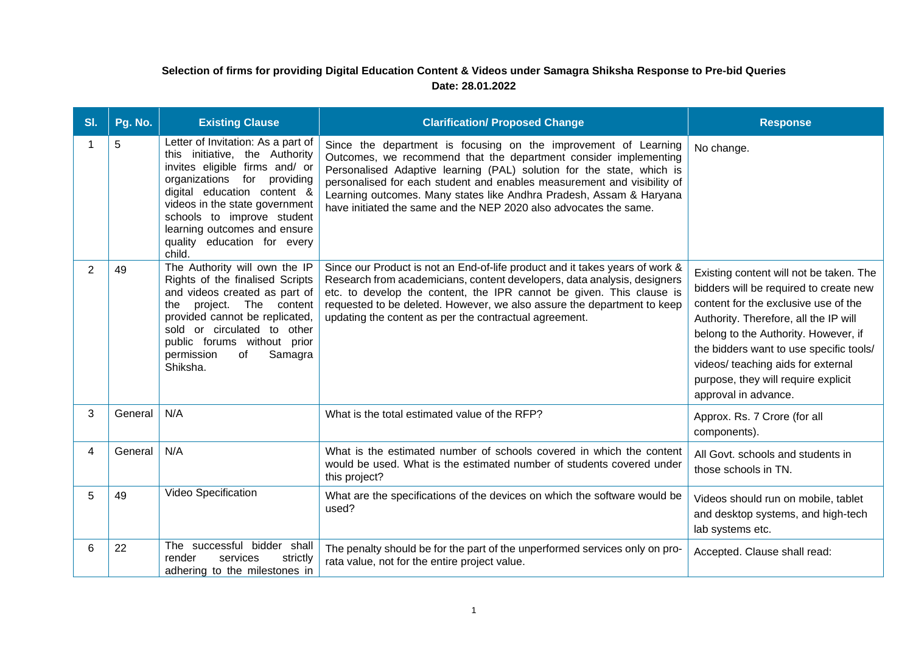## **Selection of firms for providing Digital Education Content & Videos under Samagra Shiksha Response to Pre-bid Queries Date: 28.01.2022**

| SI. | Pg. No. | <b>Existing Clause</b>                                                                                                                                                                                                                                                                                        | <b>Clarification/ Proposed Change</b>                                                                                                                                                                                                                                                                                                                                                                                               | <b>Response</b>                                                                                                                                                                                                                                                                                                                                            |
|-----|---------|---------------------------------------------------------------------------------------------------------------------------------------------------------------------------------------------------------------------------------------------------------------------------------------------------------------|-------------------------------------------------------------------------------------------------------------------------------------------------------------------------------------------------------------------------------------------------------------------------------------------------------------------------------------------------------------------------------------------------------------------------------------|------------------------------------------------------------------------------------------------------------------------------------------------------------------------------------------------------------------------------------------------------------------------------------------------------------------------------------------------------------|
| 1   | 5       | Letter of Invitation: As a part of<br>this initiative, the Authority<br>invites eligible firms and/ or<br>organizations for providing<br>digital education content &<br>videos in the state government<br>schools to improve student<br>learning outcomes and ensure<br>quality education for every<br>child. | Since the department is focusing on the improvement of Learning<br>Outcomes, we recommend that the department consider implementing<br>Personalised Adaptive learning (PAL) solution for the state, which is<br>personalised for each student and enables measurement and visibility of<br>Learning outcomes. Many states like Andhra Pradesh, Assam & Haryana<br>have initiated the same and the NEP 2020 also advocates the same. | No change.                                                                                                                                                                                                                                                                                                                                                 |
| 2   | 49      | The Authority will own the IP<br>Rights of the finalised Scripts<br>and videos created as part of<br>project.<br>The content<br>the<br>provided cannot be replicated,<br>sold or circulated to other<br>public forums without prior<br>Samagra<br>permission<br>of<br>Shiksha.                                | Since our Product is not an End-of-life product and it takes years of work &<br>Research from academicians, content developers, data analysis, designers<br>etc. to develop the content, the IPR cannot be given. This clause is<br>requested to be deleted. However, we also assure the department to keep<br>updating the content as per the contractual agreement.                                                               | Existing content will not be taken. The<br>bidders will be required to create new<br>content for the exclusive use of the<br>Authority. Therefore, all the IP will<br>belong to the Authority. However, if<br>the bidders want to use specific tools/<br>videos/ teaching aids for external<br>purpose, they will require explicit<br>approval in advance. |
| 3   | General | N/A                                                                                                                                                                                                                                                                                                           | What is the total estimated value of the RFP?                                                                                                                                                                                                                                                                                                                                                                                       | Approx. Rs. 7 Crore (for all<br>components).                                                                                                                                                                                                                                                                                                               |
| 4   | General | N/A                                                                                                                                                                                                                                                                                                           | What is the estimated number of schools covered in which the content<br>would be used. What is the estimated number of students covered under<br>this project?                                                                                                                                                                                                                                                                      | All Govt. schools and students in<br>those schools in TN.                                                                                                                                                                                                                                                                                                  |
| 5   | 49      | Video Specification                                                                                                                                                                                                                                                                                           | What are the specifications of the devices on which the software would be<br>used?                                                                                                                                                                                                                                                                                                                                                  | Videos should run on mobile, tablet<br>and desktop systems, and high-tech<br>lab systems etc.                                                                                                                                                                                                                                                              |
| 6   | 22      | The successful bidder shall<br>render<br>services<br>strictly<br>adhering to the milestones in                                                                                                                                                                                                                | The penalty should be for the part of the unperformed services only on pro-<br>rata value, not for the entire project value.                                                                                                                                                                                                                                                                                                        | Accepted. Clause shall read:                                                                                                                                                                                                                                                                                                                               |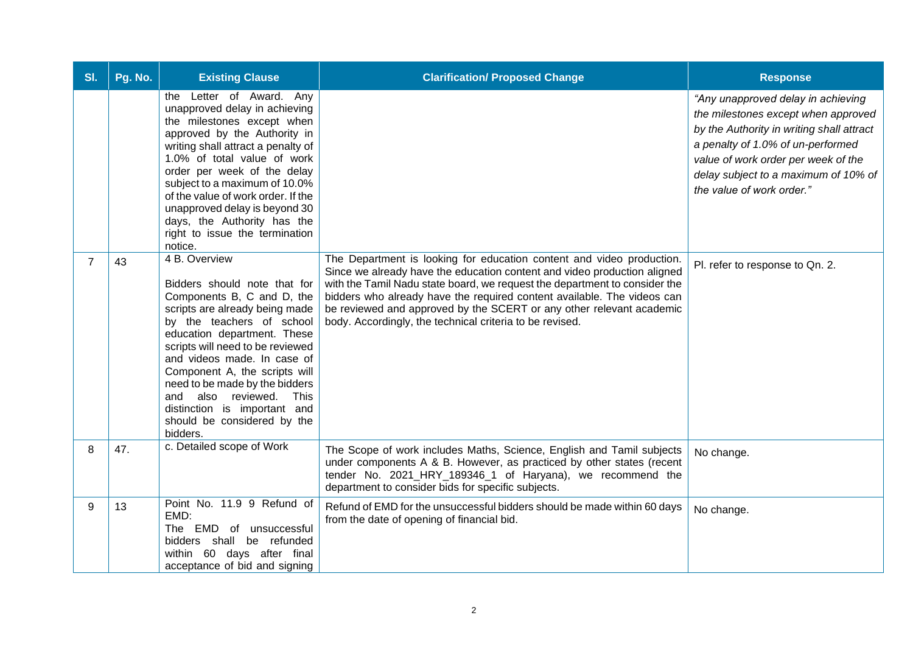| SI.            | Pg. No. | <b>Existing Clause</b>                                                                                                                                                                                                                                                                                                                                                                                                | <b>Clarification/ Proposed Change</b>                                                                                                                                                                                                                                                                                                                                                                                                          | <b>Response</b>                                                                                                                                                                                                                                                         |
|----------------|---------|-----------------------------------------------------------------------------------------------------------------------------------------------------------------------------------------------------------------------------------------------------------------------------------------------------------------------------------------------------------------------------------------------------------------------|------------------------------------------------------------------------------------------------------------------------------------------------------------------------------------------------------------------------------------------------------------------------------------------------------------------------------------------------------------------------------------------------------------------------------------------------|-------------------------------------------------------------------------------------------------------------------------------------------------------------------------------------------------------------------------------------------------------------------------|
|                |         | the Letter of Award. Any<br>unapproved delay in achieving<br>the milestones except when<br>approved by the Authority in<br>writing shall attract a penalty of<br>1.0% of total value of work<br>order per week of the delay<br>subject to a maximum of 10.0%<br>of the value of work order. If the<br>unapproved delay is beyond 30<br>days, the Authority has the<br>right to issue the termination<br>notice.       |                                                                                                                                                                                                                                                                                                                                                                                                                                                | "Any unapproved delay in achieving<br>the milestones except when approved<br>by the Authority in writing shall attract<br>a penalty of 1.0% of un-performed<br>value of work order per week of the<br>delay subject to a maximum of 10% of<br>the value of work order." |
| $\overline{7}$ | 43      | 4 B. Overview<br>Bidders should note that for<br>Components B, C and D, the<br>scripts are already being made<br>by the teachers of school<br>education department. These<br>scripts will need to be reviewed<br>and videos made. In case of<br>Component A, the scripts will<br>need to be made by the bidders<br>and also reviewed. This<br>distinction is important and<br>should be considered by the<br>bidders. | The Department is looking for education content and video production.<br>Since we already have the education content and video production aligned<br>with the Tamil Nadu state board, we request the department to consider the<br>bidders who already have the required content available. The videos can<br>be reviewed and approved by the SCERT or any other relevant academic<br>body. Accordingly, the technical criteria to be revised. | Pl. refer to response to Qn. 2.                                                                                                                                                                                                                                         |
| 8              | 47.     | c. Detailed scope of Work                                                                                                                                                                                                                                                                                                                                                                                             | The Scope of work includes Maths, Science, English and Tamil subjects<br>under components A & B. However, as practiced by other states (recent<br>tender No. 2021_HRY_189346_1 of Haryana), we recommend the<br>department to consider bids for specific subjects.                                                                                                                                                                             | No change.                                                                                                                                                                                                                                                              |
| 9              | 13      | Point No. 11.9 9 Refund of<br>EMD:<br>EMD of unsuccessful<br>The<br>bidders shall be refunded<br>within 60 days after final<br>acceptance of bid and signing                                                                                                                                                                                                                                                          | Refund of EMD for the unsuccessful bidders should be made within 60 days<br>from the date of opening of financial bid.                                                                                                                                                                                                                                                                                                                         | No change.                                                                                                                                                                                                                                                              |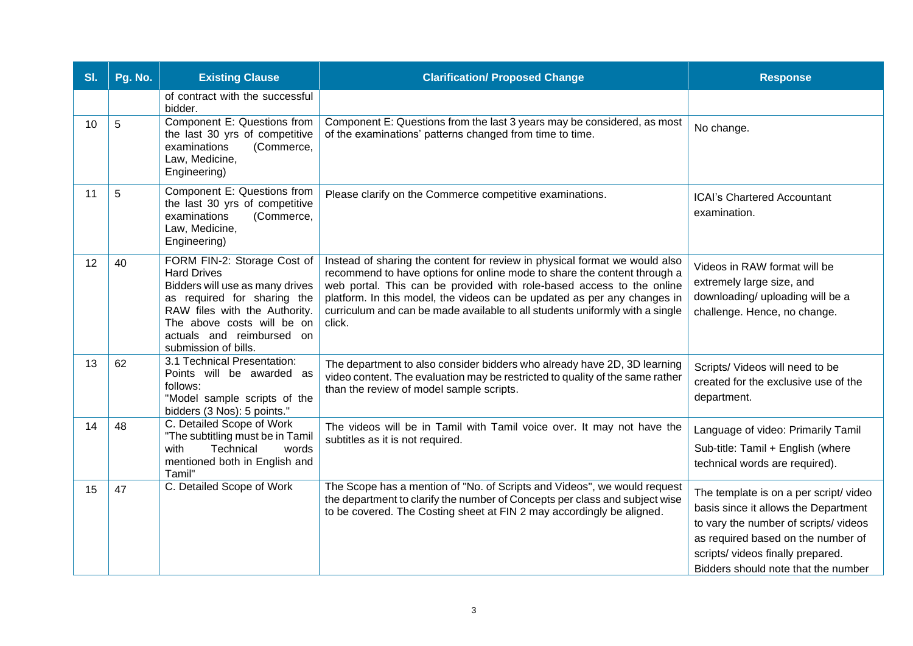| SI. | Pg. No. | <b>Existing Clause</b>                                                                                                                                                                                                                  | <b>Clarification/ Proposed Change</b>                                                                                                                                                                                                                                                                                                                                                                 | <b>Response</b>                                                                                                                                                                                                                         |
|-----|---------|-----------------------------------------------------------------------------------------------------------------------------------------------------------------------------------------------------------------------------------------|-------------------------------------------------------------------------------------------------------------------------------------------------------------------------------------------------------------------------------------------------------------------------------------------------------------------------------------------------------------------------------------------------------|-----------------------------------------------------------------------------------------------------------------------------------------------------------------------------------------------------------------------------------------|
|     |         | of contract with the successful<br>bidder.                                                                                                                                                                                              |                                                                                                                                                                                                                                                                                                                                                                                                       |                                                                                                                                                                                                                                         |
| 10  | 5       | Component E: Questions from<br>the last 30 yrs of competitive<br>(Commerce,<br>examinations<br>Law, Medicine,<br>Engineering)                                                                                                           | Component E: Questions from the last 3 years may be considered, as most<br>of the examinations' patterns changed from time to time.                                                                                                                                                                                                                                                                   | No change.                                                                                                                                                                                                                              |
| 11  | 5       | Component E: Questions from<br>the last 30 yrs of competitive<br>examinations<br>(Commerce,<br>Law, Medicine,<br>Engineering)                                                                                                           | Please clarify on the Commerce competitive examinations.                                                                                                                                                                                                                                                                                                                                              | <b>ICAI's Chartered Accountant</b><br>examination.                                                                                                                                                                                      |
| 12  | 40      | FORM FIN-2: Storage Cost of<br><b>Hard Drives</b><br>Bidders will use as many drives<br>as required for sharing the<br>RAW files with the Authority.<br>The above costs will be on<br>actuals and reimbursed on<br>submission of bills. | Instead of sharing the content for review in physical format we would also<br>recommend to have options for online mode to share the content through a<br>web portal. This can be provided with role-based access to the online<br>platform. In this model, the videos can be updated as per any changes in<br>curriculum and can be made available to all students uniformly with a single<br>click. | Videos in RAW format will be<br>extremely large size, and<br>downloading/ uploading will be a<br>challenge. Hence, no change.                                                                                                           |
| 13  | 62      | 3.1 Technical Presentation:<br>Points will be awarded as<br>follows:<br>"Model sample scripts of the<br>bidders (3 Nos): 5 points."                                                                                                     | The department to also consider bidders who already have 2D, 3D learning<br>video content. The evaluation may be restricted to quality of the same rather<br>than the review of model sample scripts.                                                                                                                                                                                                 | Scripts/ Videos will need to be<br>created for the exclusive use of the<br>department.                                                                                                                                                  |
| 14  | 48      | C. Detailed Scope of Work<br>"The subtitling must be in Tamil<br>Technical<br>words<br>with<br>mentioned both in English and<br>Tamil"                                                                                                  | The videos will be in Tamil with Tamil voice over. It may not have the<br>subtitles as it is not required.                                                                                                                                                                                                                                                                                            | Language of video: Primarily Tamil<br>Sub-title: Tamil + English (where<br>technical words are required).                                                                                                                               |
| 15  | 47      | C. Detailed Scope of Work                                                                                                                                                                                                               | The Scope has a mention of "No. of Scripts and Videos", we would request<br>the department to clarify the number of Concepts per class and subject wise<br>to be covered. The Costing sheet at FIN 2 may accordingly be aligned.                                                                                                                                                                      | The template is on a per script/video<br>basis since it allows the Department<br>to vary the number of scripts/videos<br>as required based on the number of<br>scripts/ videos finally prepared.<br>Bidders should note that the number |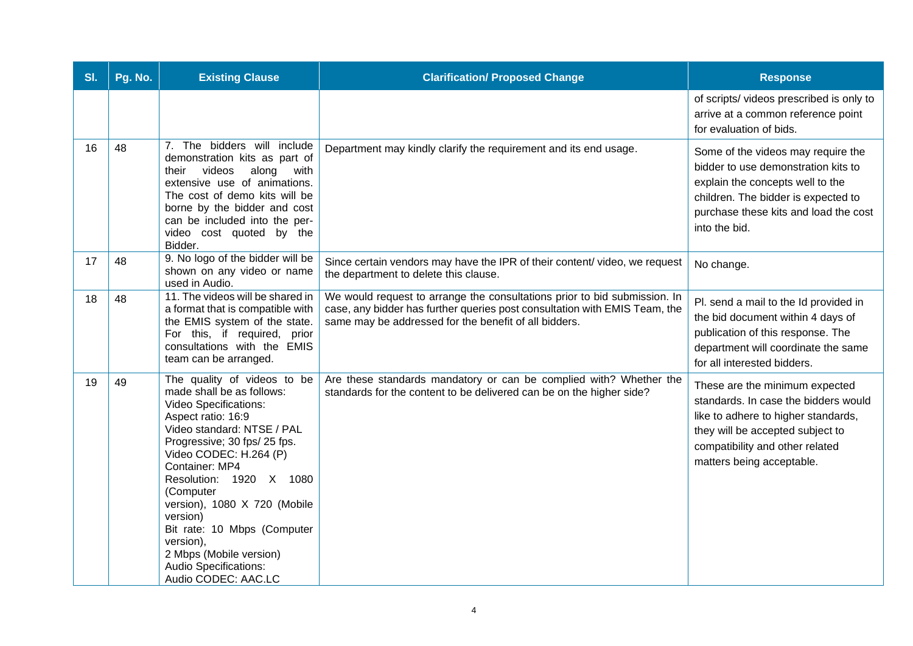| SI. | Pg. No. | <b>Existing Clause</b>                                                                                                                                                                                                                                                                                                                                                                                                              | <b>Clarification/ Proposed Change</b>                                                                                                                                                                            | <b>Response</b>                                                                                                                                                                                                   |
|-----|---------|-------------------------------------------------------------------------------------------------------------------------------------------------------------------------------------------------------------------------------------------------------------------------------------------------------------------------------------------------------------------------------------------------------------------------------------|------------------------------------------------------------------------------------------------------------------------------------------------------------------------------------------------------------------|-------------------------------------------------------------------------------------------------------------------------------------------------------------------------------------------------------------------|
|     |         |                                                                                                                                                                                                                                                                                                                                                                                                                                     |                                                                                                                                                                                                                  | of scripts/videos prescribed is only to<br>arrive at a common reference point<br>for evaluation of bids.                                                                                                          |
| 16  | 48      | 7. The bidders will include<br>demonstration kits as part of<br>videos<br>along<br>with<br>their<br>extensive use of animations.<br>The cost of demo kits will be<br>borne by the bidder and cost<br>can be included into the per-<br>video cost quoted by the<br>Bidder.                                                                                                                                                           | Department may kindly clarify the requirement and its end usage.                                                                                                                                                 | Some of the videos may require the<br>bidder to use demonstration kits to<br>explain the concepts well to the<br>children. The bidder is expected to<br>purchase these kits and load the cost<br>into the bid.    |
| 17  | 48      | 9. No logo of the bidder will be<br>shown on any video or name<br>used in Audio.                                                                                                                                                                                                                                                                                                                                                    | Since certain vendors may have the IPR of their content/video, we request<br>the department to delete this clause.                                                                                               | No change.                                                                                                                                                                                                        |
| 18  | 48      | 11. The videos will be shared in<br>a format that is compatible with<br>the EMIS system of the state.<br>For this, if required, prior<br>consultations with the EMIS<br>team can be arranged.                                                                                                                                                                                                                                       | We would request to arrange the consultations prior to bid submission. In<br>case, any bidder has further queries post consultation with EMIS Team, the<br>same may be addressed for the benefit of all bidders. | Pl. send a mail to the Id provided in<br>the bid document within 4 days of<br>publication of this response. The<br>department will coordinate the same<br>for all interested bidders.                             |
| 19  | 49      | The quality of videos to be<br>made shall be as follows:<br><b>Video Specifications:</b><br>Aspect ratio: 16:9<br>Video standard: NTSE / PAL<br>Progressive; 30 fps/ 25 fps.<br>Video CODEC: H.264 (P)<br>Container: MP4<br>Resolution: 1920 X 1080<br>(Computer<br>version), 1080 X 720 (Mobile<br>version)<br>Bit rate: 10 Mbps (Computer<br>version),<br>2 Mbps (Mobile version)<br>Audio Specifications:<br>Audio CODEC: AAC.LC | Are these standards mandatory or can be complied with? Whether the<br>standards for the content to be delivered can be on the higher side?                                                                       | These are the minimum expected<br>standards. In case the bidders would<br>like to adhere to higher standards,<br>they will be accepted subject to<br>compatibility and other related<br>matters being acceptable. |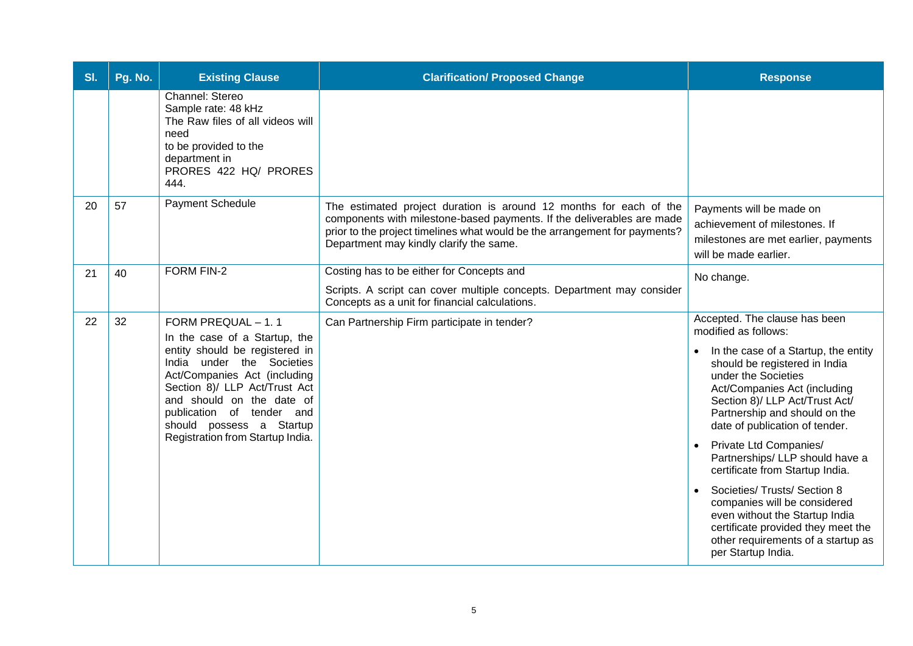| SI. | Pg. No. | <b>Existing Clause</b>                                                                                                                                                                                                                                                                                        | <b>Clarification/ Proposed Change</b>                                                                                                                                                                                                                                 | <b>Response</b>                                                                                                                                                                                                                                                                                                                                                                                                                                                                                                                                                                                |
|-----|---------|---------------------------------------------------------------------------------------------------------------------------------------------------------------------------------------------------------------------------------------------------------------------------------------------------------------|-----------------------------------------------------------------------------------------------------------------------------------------------------------------------------------------------------------------------------------------------------------------------|------------------------------------------------------------------------------------------------------------------------------------------------------------------------------------------------------------------------------------------------------------------------------------------------------------------------------------------------------------------------------------------------------------------------------------------------------------------------------------------------------------------------------------------------------------------------------------------------|
|     |         | Channel: Stereo<br>Sample rate: 48 kHz<br>The Raw files of all videos will<br>need<br>to be provided to the<br>department in<br>PRORES 422 HQ/ PRORES<br>444.                                                                                                                                                 |                                                                                                                                                                                                                                                                       |                                                                                                                                                                                                                                                                                                                                                                                                                                                                                                                                                                                                |
| 20  | 57      | Payment Schedule                                                                                                                                                                                                                                                                                              | The estimated project duration is around 12 months for each of the<br>components with milestone-based payments. If the deliverables are made<br>prior to the project timelines what would be the arrangement for payments?<br>Department may kindly clarify the same. | Payments will be made on<br>achievement of milestones. If<br>milestones are met earlier, payments<br>will be made earlier.                                                                                                                                                                                                                                                                                                                                                                                                                                                                     |
| 21  | 40      | <b>FORM FIN-2</b>                                                                                                                                                                                                                                                                                             | Costing has to be either for Concepts and<br>Scripts. A script can cover multiple concepts. Department may consider<br>Concepts as a unit for financial calculations.                                                                                                 | No change.                                                                                                                                                                                                                                                                                                                                                                                                                                                                                                                                                                                     |
| 22  | 32      | FORM PREQUAL - 1.1<br>In the case of a Startup, the<br>entity should be registered in<br>India under the Societies<br>Act/Companies Act (including<br>Section 8)/ LLP Act/Trust Act<br>and should on the date of<br>publication of tender and<br>should possess a Startup<br>Registration from Startup India. | Can Partnership Firm participate in tender?                                                                                                                                                                                                                           | Accepted. The clause has been<br>modified as follows:<br>In the case of a Startup, the entity<br>should be registered in India<br>under the Societies<br>Act/Companies Act (including<br>Section 8)/ LLP Act/Trust Act/<br>Partnership and should on the<br>date of publication of tender.<br>Private Ltd Companies/<br>Partnerships/ LLP should have a<br>certificate from Startup India.<br>Societies/ Trusts/ Section 8<br>companies will be considered<br>even without the Startup India<br>certificate provided they meet the<br>other requirements of a startup as<br>per Startup India. |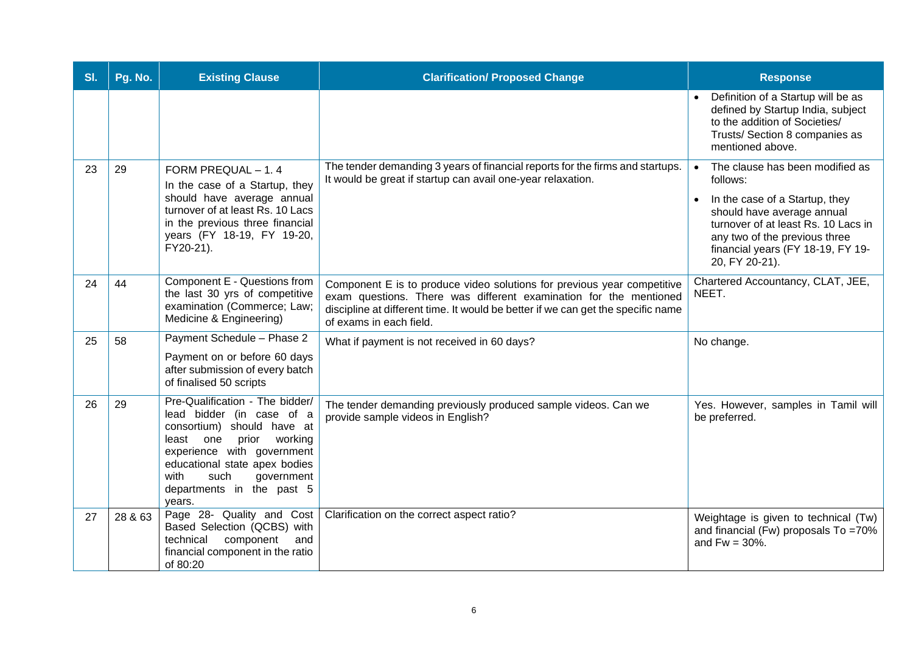| SI. | Pg. No. | <b>Existing Clause</b>                                                                                                                                                                                                                                          | <b>Clarification/ Proposed Change</b>                                                                                                                                                                                                                       | <b>Response</b>                                                                                                                                                                                                                            |
|-----|---------|-----------------------------------------------------------------------------------------------------------------------------------------------------------------------------------------------------------------------------------------------------------------|-------------------------------------------------------------------------------------------------------------------------------------------------------------------------------------------------------------------------------------------------------------|--------------------------------------------------------------------------------------------------------------------------------------------------------------------------------------------------------------------------------------------|
|     |         |                                                                                                                                                                                                                                                                 |                                                                                                                                                                                                                                                             | Definition of a Startup will be as<br>defined by Startup India, subject<br>to the addition of Societies/<br>Trusts/ Section 8 companies as<br>mentioned above.                                                                             |
| 23  | 29      | FORM PREQUAL - 1.4<br>In the case of a Startup, they<br>should have average annual<br>turnover of at least Rs. 10 Lacs<br>in the previous three financial<br>years (FY 18-19, FY 19-20,<br>FY20-21).                                                            | The tender demanding 3 years of financial reports for the firms and startups.<br>It would be great if startup can avail one-year relaxation.                                                                                                                | The clause has been modified as<br>follows:<br>In the case of a Startup, they<br>should have average annual<br>turnover of at least Rs. 10 Lacs in<br>any two of the previous three<br>financial years (FY 18-19, FY 19-<br>20, FY 20-21). |
| 24  | 44      | Component E - Questions from<br>the last 30 yrs of competitive<br>examination (Commerce; Law;<br>Medicine & Engineering)                                                                                                                                        | Component E is to produce video solutions for previous year competitive<br>exam questions. There was different examination for the mentioned<br>discipline at different time. It would be better if we can get the specific name<br>of exams in each field. | Chartered Accountancy, CLAT, JEE,<br>NEET.                                                                                                                                                                                                 |
| 25  | 58      | Payment Schedule - Phase 2<br>Payment on or before 60 days<br>after submission of every batch<br>of finalised 50 scripts                                                                                                                                        | What if payment is not received in 60 days?                                                                                                                                                                                                                 | No change.                                                                                                                                                                                                                                 |
| 26  | 29      | Pre-Qualification - The bidder/<br>lead bidder (in case of a<br>consortium) should have at<br>prior working<br>least<br>one<br>experience with government<br>educational state apex bodies<br>with<br>such<br>government<br>departments in the past 5<br>vears. | The tender demanding previously produced sample videos. Can we<br>provide sample videos in English?                                                                                                                                                         | Yes. However, samples in Tamil will<br>be preferred.                                                                                                                                                                                       |
| 27  | 28 & 63 | Page 28- Quality and Cost<br>Based Selection (QCBS) with<br>component<br>technical<br>and<br>financial component in the ratio<br>of 80:20                                                                                                                       | Clarification on the correct aspect ratio?                                                                                                                                                                                                                  | Weightage is given to technical (Tw)<br>and financial (Fw) proposals To =70%<br>and $Fw = 30\%$ .                                                                                                                                          |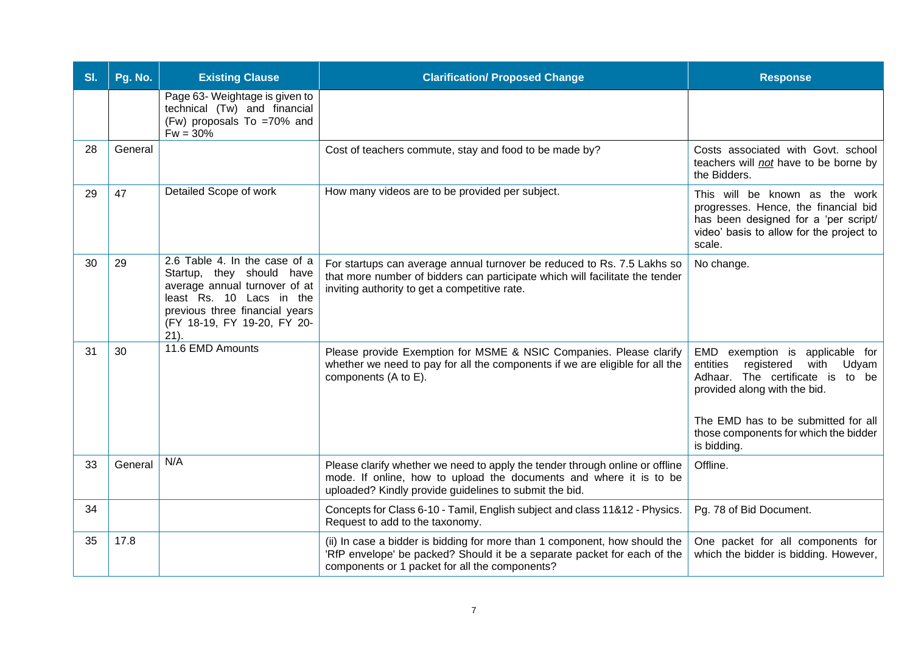| SI. | Pg. No. | <b>Existing Clause</b>                                                                                                                                                                              | <b>Clarification/ Proposed Change</b>                                                                                                                                                                        | <b>Response</b>                                                                                                                                                                                                                               |
|-----|---------|-----------------------------------------------------------------------------------------------------------------------------------------------------------------------------------------------------|--------------------------------------------------------------------------------------------------------------------------------------------------------------------------------------------------------------|-----------------------------------------------------------------------------------------------------------------------------------------------------------------------------------------------------------------------------------------------|
|     |         | Page 63- Weightage is given to<br>technical (Tw) and financial<br>(Fw) proposals To =70% and<br>$Fw = 30%$                                                                                          |                                                                                                                                                                                                              |                                                                                                                                                                                                                                               |
| 28  | General |                                                                                                                                                                                                     | Cost of teachers commute, stay and food to be made by?                                                                                                                                                       | Costs associated with Govt. school<br>teachers will not have to be borne by<br>the Bidders.                                                                                                                                                   |
| 29  | 47      | Detailed Scope of work                                                                                                                                                                              | How many videos are to be provided per subject.                                                                                                                                                              | This will be known as the work<br>progresses. Hence, the financial bid<br>has been designed for a 'per script/<br>video' basis to allow for the project to<br>scale.                                                                          |
| 30  | 29      | 2.6 Table 4. In the case of a<br>Startup, they should have<br>average annual turnover of at<br>least Rs. 10 Lacs in the<br>previous three financial years<br>(FY 18-19, FY 19-20, FY 20-<br>$21$ ). | For startups can average annual turnover be reduced to Rs. 7.5 Lakhs so<br>that more number of bidders can participate which will facilitate the tender<br>inviting authority to get a competitive rate.     | No change.                                                                                                                                                                                                                                    |
| 31  | 30      | 11.6 EMD Amounts                                                                                                                                                                                    | Please provide Exemption for MSME & NSIC Companies. Please clarify<br>whether we need to pay for all the components if we are eligible for all the<br>components (A to E).                                   | EMD exemption is applicable for<br>entities<br>registered<br>with<br>Udyam<br>Adhaar. The certificate is to be<br>provided along with the bid.<br>The EMD has to be submitted for all<br>those components for which the bidder<br>is bidding. |
| 33  | General | N/A                                                                                                                                                                                                 | Please clarify whether we need to apply the tender through online or offline<br>mode. If online, how to upload the documents and where it is to be<br>uploaded? Kindly provide guidelines to submit the bid. | Offline.                                                                                                                                                                                                                                      |
| 34  |         |                                                                                                                                                                                                     | Concepts for Class 6-10 - Tamil, English subject and class 11&12 - Physics.<br>Request to add to the taxonomy.                                                                                               | Pg. 78 of Bid Document.                                                                                                                                                                                                                       |
| 35  | 17.8    |                                                                                                                                                                                                     | (ii) In case a bidder is bidding for more than 1 component, how should the<br>'RfP envelope' be packed? Should it be a separate packet for each of the<br>components or 1 packet for all the components?     | One packet for all components for<br>which the bidder is bidding. However,                                                                                                                                                                    |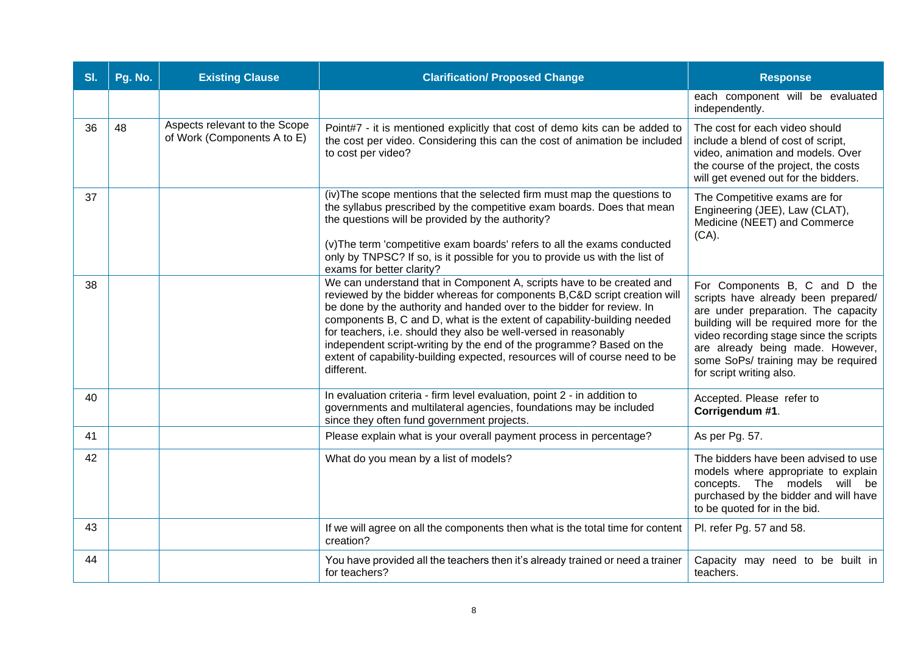| SI. | Pg. No. | <b>Existing Clause</b>                                       | <b>Clarification/ Proposed Change</b>                                                                                                                                                                                                                                                                                                                                                                                                                                                                                                          | <b>Response</b>                                                                                                                                                                                                                                                                                         |
|-----|---------|--------------------------------------------------------------|------------------------------------------------------------------------------------------------------------------------------------------------------------------------------------------------------------------------------------------------------------------------------------------------------------------------------------------------------------------------------------------------------------------------------------------------------------------------------------------------------------------------------------------------|---------------------------------------------------------------------------------------------------------------------------------------------------------------------------------------------------------------------------------------------------------------------------------------------------------|
|     |         |                                                              |                                                                                                                                                                                                                                                                                                                                                                                                                                                                                                                                                | each component will be evaluated<br>independently.                                                                                                                                                                                                                                                      |
| 36  | 48      | Aspects relevant to the Scope<br>of Work (Components A to E) | Point#7 - it is mentioned explicitly that cost of demo kits can be added to<br>the cost per video. Considering this can the cost of animation be included<br>to cost per video?                                                                                                                                                                                                                                                                                                                                                                | The cost for each video should<br>include a blend of cost of script,<br>video, animation and models. Over<br>the course of the project, the costs<br>will get evened out for the bidders.                                                                                                               |
| 37  |         |                                                              | (iv) The scope mentions that the selected firm must map the questions to<br>the syllabus prescribed by the competitive exam boards. Does that mean<br>the questions will be provided by the authority?<br>(v) The term 'competitive exam boards' refers to all the exams conducted<br>only by TNPSC? If so, is it possible for you to provide us with the list of<br>exams for better clarity?                                                                                                                                                 | The Competitive exams are for<br>Engineering (JEE), Law (CLAT),<br>Medicine (NEET) and Commerce<br>$(CA)$ .                                                                                                                                                                                             |
| 38  |         |                                                              | We can understand that in Component A, scripts have to be created and<br>reviewed by the bidder whereas for components B,C&D script creation will<br>be done by the authority and handed over to the bidder for review. In<br>components B, C and D, what is the extent of capability-building needed<br>for teachers, i.e. should they also be well-versed in reasonably<br>independent script-writing by the end of the programme? Based on the<br>extent of capability-building expected, resources will of course need to be<br>different. | For Components B, C and D the<br>scripts have already been prepared/<br>are under preparation. The capacity<br>building will be required more for the<br>video recording stage since the scripts<br>are already being made. However,<br>some SoPs/ training may be required<br>for script writing also. |
| 40  |         |                                                              | In evaluation criteria - firm level evaluation, point 2 - in addition to<br>governments and multilateral agencies, foundations may be included<br>since they often fund government projects.                                                                                                                                                                                                                                                                                                                                                   | Accepted. Please refer to<br>Corrigendum #1.                                                                                                                                                                                                                                                            |
| 41  |         |                                                              | Please explain what is your overall payment process in percentage?                                                                                                                                                                                                                                                                                                                                                                                                                                                                             | As per Pg. 57.                                                                                                                                                                                                                                                                                          |
| 42  |         |                                                              | What do you mean by a list of models?                                                                                                                                                                                                                                                                                                                                                                                                                                                                                                          | The bidders have been advised to use<br>models where appropriate to explain<br>concepts. The models will be<br>purchased by the bidder and will have<br>to be quoted for in the bid.                                                                                                                    |
| 43  |         |                                                              | If we will agree on all the components then what is the total time for content<br>creation?                                                                                                                                                                                                                                                                                                                                                                                                                                                    | Pl. refer Pg. 57 and 58.                                                                                                                                                                                                                                                                                |
| 44  |         |                                                              | You have provided all the teachers then it's already trained or need a trainer<br>for teachers?                                                                                                                                                                                                                                                                                                                                                                                                                                                | Capacity may need to be built in<br>teachers.                                                                                                                                                                                                                                                           |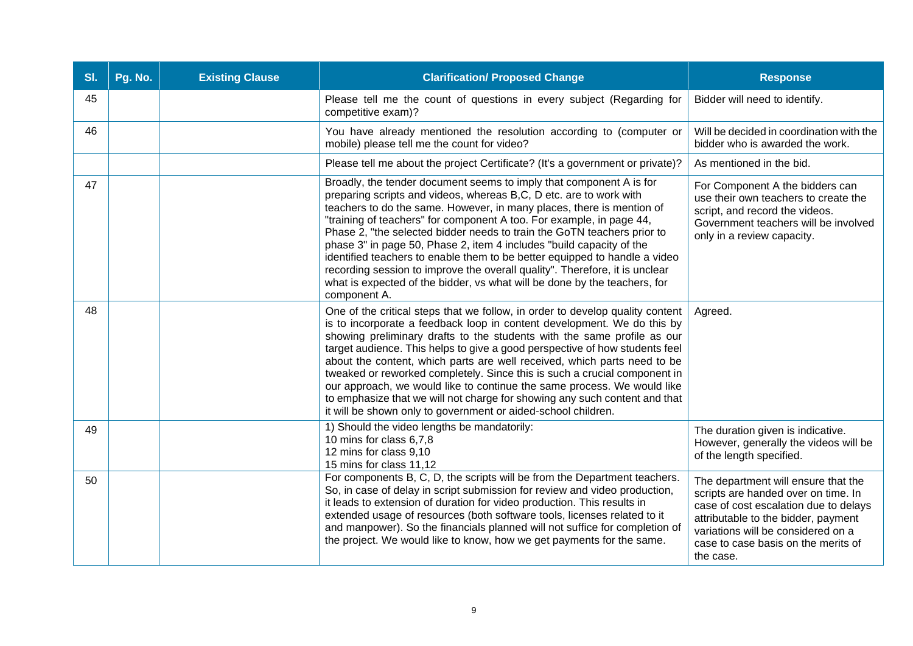| SI. | Pg. No. | <b>Existing Clause</b> | <b>Clarification/ Proposed Change</b>                                                                                                                                                                                                                                                                                                                                                                                                                                                                                                                                                                                                                                                                   | <b>Response</b>                                                                                                                                                                                                                                      |
|-----|---------|------------------------|---------------------------------------------------------------------------------------------------------------------------------------------------------------------------------------------------------------------------------------------------------------------------------------------------------------------------------------------------------------------------------------------------------------------------------------------------------------------------------------------------------------------------------------------------------------------------------------------------------------------------------------------------------------------------------------------------------|------------------------------------------------------------------------------------------------------------------------------------------------------------------------------------------------------------------------------------------------------|
| 45  |         |                        | Please tell me the count of questions in every subject (Regarding for<br>competitive exam)?                                                                                                                                                                                                                                                                                                                                                                                                                                                                                                                                                                                                             | Bidder will need to identify.                                                                                                                                                                                                                        |
| 46  |         |                        | You have already mentioned the resolution according to (computer or<br>mobile) please tell me the count for video?                                                                                                                                                                                                                                                                                                                                                                                                                                                                                                                                                                                      | Will be decided in coordination with the<br>bidder who is awarded the work.                                                                                                                                                                          |
|     |         |                        | Please tell me about the project Certificate? (It's a government or private)?                                                                                                                                                                                                                                                                                                                                                                                                                                                                                                                                                                                                                           | As mentioned in the bid.                                                                                                                                                                                                                             |
| 47  |         |                        | Broadly, the tender document seems to imply that component A is for<br>preparing scripts and videos, whereas B,C, D etc. are to work with<br>teachers to do the same. However, in many places, there is mention of<br>"training of teachers" for component A too. For example, in page 44,<br>Phase 2, "the selected bidder needs to train the GoTN teachers prior to<br>phase 3" in page 50, Phase 2, item 4 includes "build capacity of the<br>identified teachers to enable them to be better equipped to handle a video<br>recording session to improve the overall quality". Therefore, it is unclear<br>what is expected of the bidder, vs what will be done by the teachers, for<br>component A. | For Component A the bidders can<br>use their own teachers to create the<br>script, and record the videos.<br>Government teachers will be involved<br>only in a review capacity.                                                                      |
| 48  |         |                        | One of the critical steps that we follow, in order to develop quality content<br>is to incorporate a feedback loop in content development. We do this by<br>showing preliminary drafts to the students with the same profile as our<br>target audience. This helps to give a good perspective of how students feel<br>about the content, which parts are well received, which parts need to be<br>tweaked or reworked completely. Since this is such a crucial component in<br>our approach, we would like to continue the same process. We would like<br>to emphasize that we will not charge for showing any such content and that<br>it will be shown only to government or aided-school children.   | Agreed.                                                                                                                                                                                                                                              |
| 49  |         |                        | 1) Should the video lengths be mandatorily:<br>10 mins for class 6,7,8<br>12 mins for class 9,10<br>15 mins for class 11,12                                                                                                                                                                                                                                                                                                                                                                                                                                                                                                                                                                             | The duration given is indicative.<br>However, generally the videos will be<br>of the length specified.                                                                                                                                               |
| 50  |         |                        | For components B, C, D, the scripts will be from the Department teachers.<br>So, in case of delay in script submission for review and video production,<br>it leads to extension of duration for video production. This results in<br>extended usage of resources (both software tools, licenses related to it<br>and manpower). So the financials planned will not suffice for completion of<br>the project. We would like to know, how we get payments for the same.                                                                                                                                                                                                                                  | The department will ensure that the<br>scripts are handed over on time. In<br>case of cost escalation due to delays<br>attributable to the bidder, payment<br>variations will be considered on a<br>case to case basis on the merits of<br>the case. |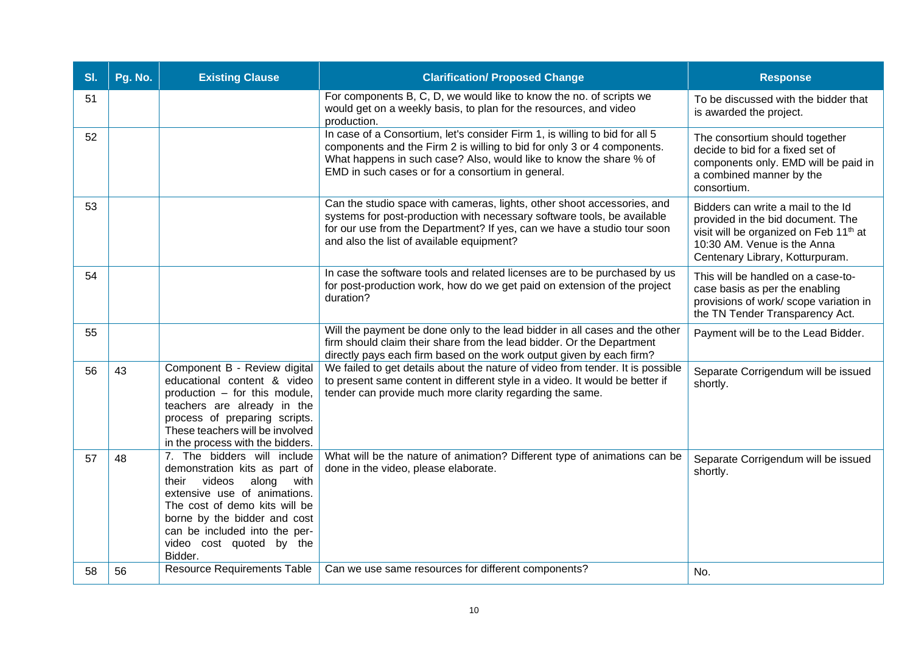| SI. | Pg. No. | <b>Existing Clause</b>                                                                                                                                                                                                                                                 | <b>Clarification/ Proposed Change</b>                                                                                                                                                                                                                                             | <b>Response</b>                                                                                                                                                                                 |
|-----|---------|------------------------------------------------------------------------------------------------------------------------------------------------------------------------------------------------------------------------------------------------------------------------|-----------------------------------------------------------------------------------------------------------------------------------------------------------------------------------------------------------------------------------------------------------------------------------|-------------------------------------------------------------------------------------------------------------------------------------------------------------------------------------------------|
| 51  |         |                                                                                                                                                                                                                                                                        | For components B, C, D, we would like to know the no. of scripts we<br>would get on a weekly basis, to plan for the resources, and video<br>production.                                                                                                                           | To be discussed with the bidder that<br>is awarded the project.                                                                                                                                 |
| 52  |         |                                                                                                                                                                                                                                                                        | In case of a Consortium, let's consider Firm 1, is willing to bid for all 5<br>components and the Firm 2 is willing to bid for only 3 or 4 components.<br>What happens in such case? Also, would like to know the share % of<br>EMD in such cases or for a consortium in general. | The consortium should together<br>decide to bid for a fixed set of<br>components only. EMD will be paid in<br>a combined manner by the<br>consortium.                                           |
| 53  |         |                                                                                                                                                                                                                                                                        | Can the studio space with cameras, lights, other shoot accessories, and<br>systems for post-production with necessary software tools, be available<br>for our use from the Department? If yes, can we have a studio tour soon<br>and also the list of available equipment?        | Bidders can write a mail to the Id<br>provided in the bid document. The<br>visit will be organized on Feb 11 <sup>th</sup> at<br>10:30 AM. Venue is the Anna<br>Centenary Library, Kotturpuram. |
| 54  |         |                                                                                                                                                                                                                                                                        | In case the software tools and related licenses are to be purchased by us<br>for post-production work, how do we get paid on extension of the project<br>duration?                                                                                                                | This will be handled on a case-to-<br>case basis as per the enabling<br>provisions of work/ scope variation in<br>the TN Tender Transparency Act.                                               |
| 55  |         |                                                                                                                                                                                                                                                                        | Will the payment be done only to the lead bidder in all cases and the other<br>firm should claim their share from the lead bidder. Or the Department<br>directly pays each firm based on the work output given by each firm?                                                      | Payment will be to the Lead Bidder.                                                                                                                                                             |
| 56  | 43      | Component B - Review digital<br>educational content & video<br>production - for this module,<br>teachers are already in the<br>process of preparing scripts.<br>These teachers will be involved<br>in the process with the bidders.                                    | We failed to get details about the nature of video from tender. It is possible<br>to present same content in different style in a video. It would be better if<br>tender can provide much more clarity regarding the same.                                                        | Separate Corrigendum will be issued<br>shortly.                                                                                                                                                 |
| 57  | 48      | 7. The bidders will include<br>demonstration kits as part of<br>their videos<br>along<br>with<br>extensive use of animations.<br>The cost of demo kits will be<br>borne by the bidder and cost<br>can be included into the per-<br>video cost quoted by the<br>Bidder. | What will be the nature of animation? Different type of animations can be<br>done in the video, please elaborate.                                                                                                                                                                 | Separate Corrigendum will be issued<br>shortly.                                                                                                                                                 |
| 58  | 56      | Resource Requirements Table                                                                                                                                                                                                                                            | Can we use same resources for different components?                                                                                                                                                                                                                               | No.                                                                                                                                                                                             |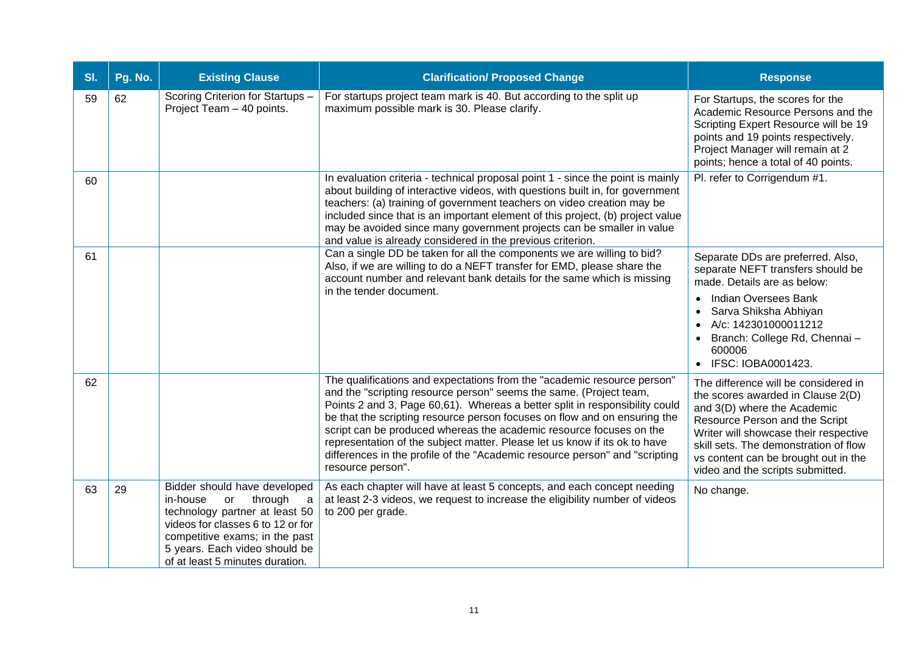| SI. | Pg. No. | <b>Existing Clause</b>                                                                                                                                                                                                                      | <b>Clarification/ Proposed Change</b>                                                                                                                                                                                                                                                                                                                                                                                                                                                                                                                              | <b>Response</b>                                                                                                                                                                                                                                                                                          |
|-----|---------|---------------------------------------------------------------------------------------------------------------------------------------------------------------------------------------------------------------------------------------------|--------------------------------------------------------------------------------------------------------------------------------------------------------------------------------------------------------------------------------------------------------------------------------------------------------------------------------------------------------------------------------------------------------------------------------------------------------------------------------------------------------------------------------------------------------------------|----------------------------------------------------------------------------------------------------------------------------------------------------------------------------------------------------------------------------------------------------------------------------------------------------------|
| 59  | 62      | Scoring Criterion for Startups -<br>Project Team - 40 points.                                                                                                                                                                               | For startups project team mark is 40. But according to the split up<br>maximum possible mark is 30. Please clarify.                                                                                                                                                                                                                                                                                                                                                                                                                                                | For Startups, the scores for the<br>Academic Resource Persons and the<br>Scripting Expert Resource will be 19<br>points and 19 points respectively.<br>Project Manager will remain at 2<br>points; hence a total of 40 points.                                                                           |
| 60  |         |                                                                                                                                                                                                                                             | In evaluation criteria - technical proposal point 1 - since the point is mainly<br>about building of interactive videos, with questions built in, for government<br>teachers: (a) training of government teachers on video creation may be<br>included since that is an important element of this project, (b) project value<br>may be avoided since many government projects can be smaller in value<br>and value is already considered in the previous criterion.                                                                                                | Pl. refer to Corrigendum #1.                                                                                                                                                                                                                                                                             |
| 61  |         |                                                                                                                                                                                                                                             | Can a single DD be taken for all the components we are willing to bid?<br>Also, if we are willing to do a NEFT transfer for EMD, please share the<br>account number and relevant bank details for the same which is missing                                                                                                                                                                                                                                                                                                                                        | Separate DDs are preferred. Also,<br>separate NEFT transfers should be<br>made. Details are as below:                                                                                                                                                                                                    |
|     |         |                                                                                                                                                                                                                                             | in the tender document.                                                                                                                                                                                                                                                                                                                                                                                                                                                                                                                                            | Indian Oversees Bank<br>$\bullet$<br>Sarva Shiksha Abhiyan<br>$\bullet$<br>A/c: 142301000011212<br>Branch: College Rd, Chennai -<br>600006<br>IFSC: IOBA0001423.<br>$\bullet$                                                                                                                            |
| 62  |         |                                                                                                                                                                                                                                             | The qualifications and expectations from the "academic resource person"<br>and the "scripting resource person" seems the same. (Project team,<br>Points 2 and 3, Page 60,61). Whereas a better split in responsibility could<br>be that the scripting resource person focuses on flow and on ensuring the<br>script can be produced whereas the academic resource focuses on the<br>representation of the subject matter. Please let us know if its ok to have<br>differences in the profile of the "Academic resource person" and "scripting<br>resource person". | The difference will be considered in<br>the scores awarded in Clause 2(D)<br>and 3(D) where the Academic<br>Resource Person and the Script<br>Writer will showcase their respective<br>skill sets. The demonstration of flow<br>vs content can be brought out in the<br>video and the scripts submitted. |
| 63  | 29      | Bidder should have developed<br>in-house<br>through<br>or<br>a<br>technology partner at least 50<br>videos for classes 6 to 12 or for<br>competitive exams; in the past<br>5 years. Each video should be<br>of at least 5 minutes duration. | As each chapter will have at least 5 concepts, and each concept needing<br>at least 2-3 videos, we request to increase the eligibility number of videos<br>to 200 per grade.                                                                                                                                                                                                                                                                                                                                                                                       | No change.                                                                                                                                                                                                                                                                                               |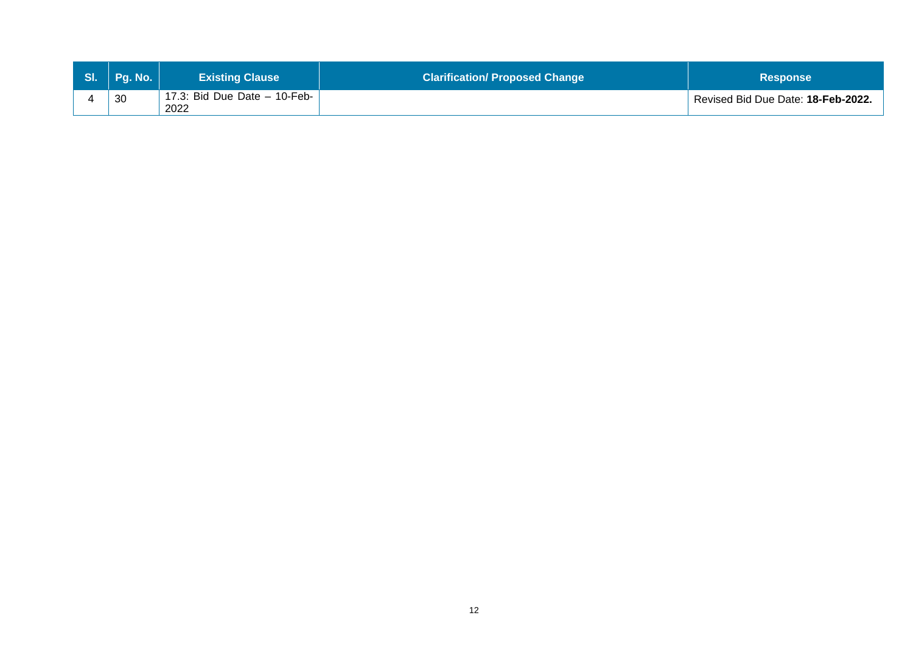| SI. Pg. No. | <b>Existing Clause</b>                 | <b>Clarification/ Proposed Change</b> | <b>Response</b>                    |
|-------------|----------------------------------------|---------------------------------------|------------------------------------|
| 30          | 17.3: Bid Due Date $-$ 10-Feb-<br>2022 |                                       | Revised Bid Due Date: 18-Feb-2022. |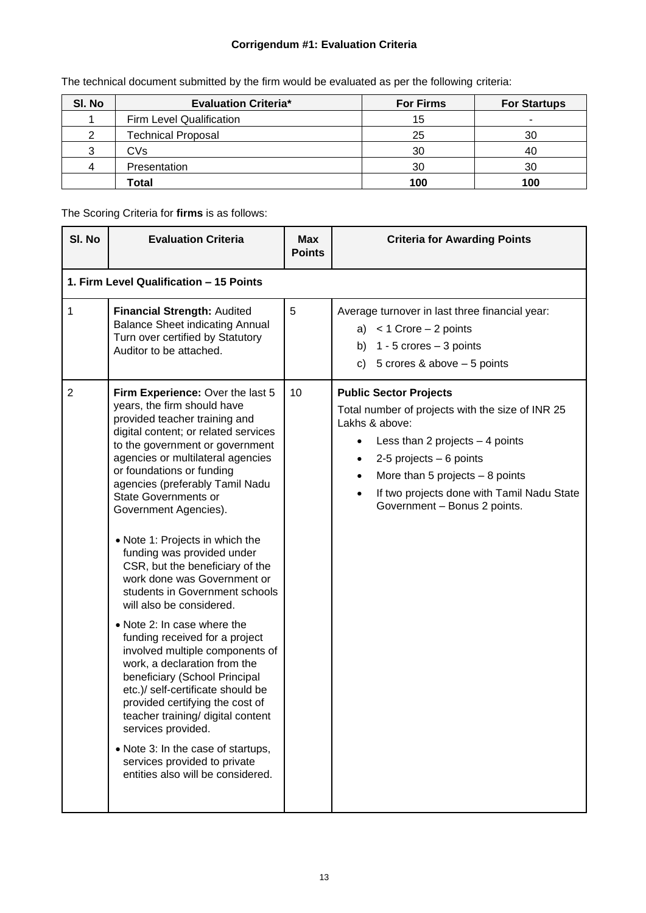## **Corrigendum #1: Evaluation Criteria**

| SI. No | <b>Evaluation Criteria*</b> | <b>For Firms</b> | <b>For Startups</b> |
|--------|-----------------------------|------------------|---------------------|
|        | Firm Level Qualification    | 15               |                     |
|        | <b>Technical Proposal</b>   | 25               | 30                  |
| 3      | CVs                         | 30               | 40                  |
| 4      | Presentation                | 30               | 30                  |
|        | Total                       | 100              | 100                 |

The technical document submitted by the firm would be evaluated as per the following criteria:

The Scoring Criteria for **firms** is as follows:

| SI. No         | <b>Evaluation Criteria</b>                                                                                                                                                                                                                                                                                                                                                                                                                                                                                                                                                                                                                                                                                                                                                                                                                                                                                                                                   | <b>Max</b><br><b>Points</b> | <b>Criteria for Awarding Points</b>                                                                                                                                                                                                                                                                     |
|----------------|--------------------------------------------------------------------------------------------------------------------------------------------------------------------------------------------------------------------------------------------------------------------------------------------------------------------------------------------------------------------------------------------------------------------------------------------------------------------------------------------------------------------------------------------------------------------------------------------------------------------------------------------------------------------------------------------------------------------------------------------------------------------------------------------------------------------------------------------------------------------------------------------------------------------------------------------------------------|-----------------------------|---------------------------------------------------------------------------------------------------------------------------------------------------------------------------------------------------------------------------------------------------------------------------------------------------------|
|                | 1. Firm Level Qualification - 15 Points                                                                                                                                                                                                                                                                                                                                                                                                                                                                                                                                                                                                                                                                                                                                                                                                                                                                                                                      |                             |                                                                                                                                                                                                                                                                                                         |
| $\mathbf{1}$   | Financial Strength: Audited<br><b>Balance Sheet indicating Annual</b><br>Turn over certified by Statutory<br>Auditor to be attached.                                                                                                                                                                                                                                                                                                                                                                                                                                                                                                                                                                                                                                                                                                                                                                                                                         | 5                           | Average turnover in last three financial year:<br>a) $< 1$ Crore $- 2$ points<br>b) $1 - 5$ crores $-3$ points<br>c) $5$ crores & above $-5$ points                                                                                                                                                     |
| $\overline{2}$ | Firm Experience: Over the last 5<br>years, the firm should have<br>provided teacher training and<br>digital content; or related services<br>to the government or government<br>agencies or multilateral agencies<br>or foundations or funding<br>agencies (preferably Tamil Nadu<br><b>State Governments or</b><br>Government Agencies).<br>• Note 1: Projects in which the<br>funding was provided under<br>CSR, but the beneficiary of the<br>work done was Government or<br>students in Government schools<br>will also be considered.<br>• Note 2: In case where the<br>funding received for a project<br>involved multiple components of<br>work, a declaration from the<br>beneficiary (School Principal<br>etc.)/ self-certificate should be<br>provided certifying the cost of<br>teacher training/ digital content<br>services provided.<br>• Note 3: In the case of startups,<br>services provided to private<br>entities also will be considered. | 10                          | <b>Public Sector Projects</b><br>Total number of projects with the size of INR 25<br>Lakhs & above:<br>Less than 2 projects $-4$ points<br>2-5 projects $-6$ points<br>٠<br>More than 5 projects $-8$ points<br>$\bullet$<br>If two projects done with Tamil Nadu State<br>Government - Bonus 2 points. |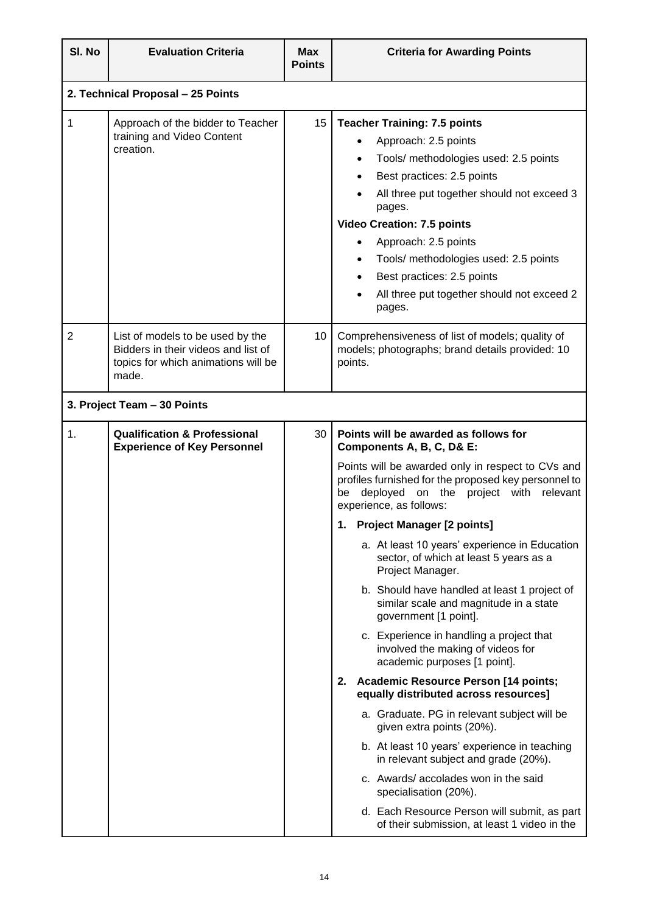| SI. No         | <b>Evaluation Criteria</b>                                                                                              | <b>Max</b><br><b>Points</b> | <b>Criteria for Awarding Points</b>                                                                                                                                                                                                                                                                                                                                                                                                                                                                                                                                                                                                                                                                                                                                                                                                                                                                                                                                            |  |
|----------------|-------------------------------------------------------------------------------------------------------------------------|-----------------------------|--------------------------------------------------------------------------------------------------------------------------------------------------------------------------------------------------------------------------------------------------------------------------------------------------------------------------------------------------------------------------------------------------------------------------------------------------------------------------------------------------------------------------------------------------------------------------------------------------------------------------------------------------------------------------------------------------------------------------------------------------------------------------------------------------------------------------------------------------------------------------------------------------------------------------------------------------------------------------------|--|
|                | 2. Technical Proposal - 25 Points                                                                                       |                             |                                                                                                                                                                                                                                                                                                                                                                                                                                                                                                                                                                                                                                                                                                                                                                                                                                                                                                                                                                                |  |
| 1              | Approach of the bidder to Teacher<br>training and Video Content<br>creation.                                            | 15                          | <b>Teacher Training: 7.5 points</b><br>Approach: 2.5 points<br>Tools/ methodologies used: 2.5 points<br>Best practices: 2.5 points<br>All three put together should not exceed 3<br>pages.<br><b>Video Creation: 7.5 points</b><br>Approach: 2.5 points<br>$\bullet$<br>Tools/ methodologies used: 2.5 points<br>Best practices: 2.5 points<br>All three put together should not exceed 2<br>pages.                                                                                                                                                                                                                                                                                                                                                                                                                                                                                                                                                                            |  |
| $\overline{2}$ | List of models to be used by the<br>Bidders in their videos and list of<br>topics for which animations will be<br>made. | 10 <sup>°</sup>             | Comprehensiveness of list of models; quality of<br>models; photographs; brand details provided: 10<br>points.                                                                                                                                                                                                                                                                                                                                                                                                                                                                                                                                                                                                                                                                                                                                                                                                                                                                  |  |
|                | 3. Project Team - 30 Points                                                                                             |                             |                                                                                                                                                                                                                                                                                                                                                                                                                                                                                                                                                                                                                                                                                                                                                                                                                                                                                                                                                                                |  |
| 1.             | <b>Qualification &amp; Professional</b><br><b>Experience of Key Personnel</b>                                           | 30                          | Points will be awarded as follows for<br>Components A, B, C, D& E:<br>Points will be awarded only in respect to CVs and<br>profiles furnished for the proposed key personnel to<br>deployed<br>on the project<br>with<br>relevant<br>be<br>experience, as follows:<br>1. Project Manager [2 points]<br>a. At least 10 years' experience in Education<br>sector, of which at least 5 years as a<br>Project Manager.<br>b. Should have handled at least 1 project of<br>similar scale and magnitude in a state<br>government [1 point].<br>c. Experience in handling a project that<br>involved the making of videos for<br>academic purposes [1 point].<br>2. Academic Resource Person [14 points;<br>equally distributed across resources]<br>a. Graduate. PG in relevant subject will be<br>given extra points (20%).<br>b. At least 10 years' experience in teaching<br>in relevant subject and grade (20%).<br>c. Awards/accolades won in the said<br>specialisation (20%). |  |
|                |                                                                                                                         |                             | d. Each Resource Person will submit, as part<br>of their submission, at least 1 video in the                                                                                                                                                                                                                                                                                                                                                                                                                                                                                                                                                                                                                                                                                                                                                                                                                                                                                   |  |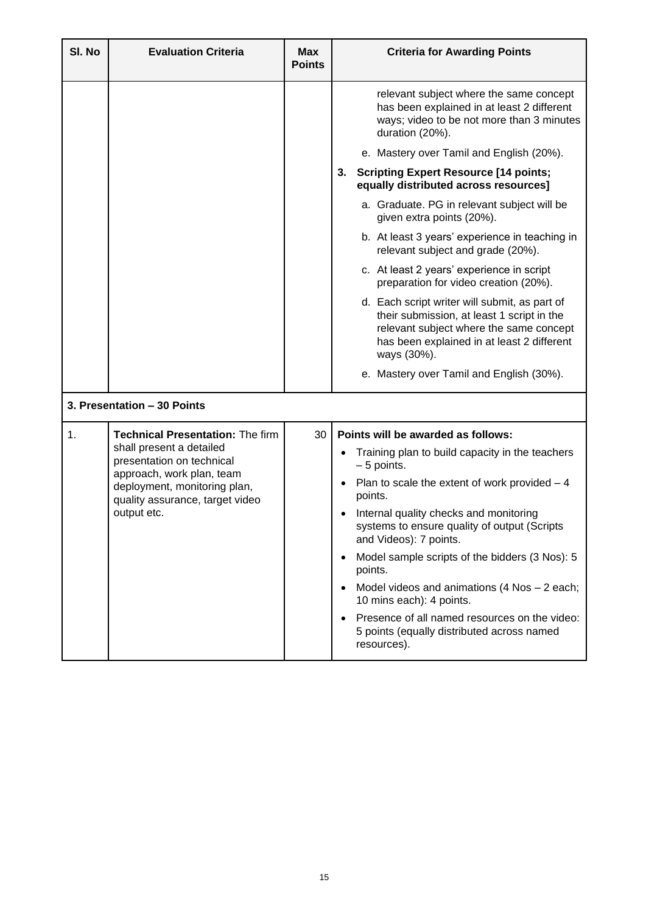| SI. No | <b>Evaluation Criteria</b>                                                                                                                                                                                      | <b>Max</b><br><b>Points</b> | <b>Criteria for Awarding Points</b>                                                                                                                                                                                                                                                                                                                 |
|--------|-----------------------------------------------------------------------------------------------------------------------------------------------------------------------------------------------------------------|-----------------------------|-----------------------------------------------------------------------------------------------------------------------------------------------------------------------------------------------------------------------------------------------------------------------------------------------------------------------------------------------------|
|        |                                                                                                                                                                                                                 |                             | relevant subject where the same concept<br>has been explained in at least 2 different<br>ways; video to be not more than 3 minutes<br>duration (20%).                                                                                                                                                                                               |
|        |                                                                                                                                                                                                                 |                             | e. Mastery over Tamil and English (20%).                                                                                                                                                                                                                                                                                                            |
|        |                                                                                                                                                                                                                 |                             | <b>Scripting Expert Resource [14 points;</b><br>3.<br>equally distributed across resources]                                                                                                                                                                                                                                                         |
|        |                                                                                                                                                                                                                 |                             | a. Graduate. PG in relevant subject will be<br>given extra points (20%).                                                                                                                                                                                                                                                                            |
|        |                                                                                                                                                                                                                 |                             | b. At least 3 years' experience in teaching in<br>relevant subject and grade (20%).                                                                                                                                                                                                                                                                 |
|        |                                                                                                                                                                                                                 |                             | c. At least 2 years' experience in script<br>preparation for video creation (20%).                                                                                                                                                                                                                                                                  |
|        |                                                                                                                                                                                                                 |                             | d. Each script writer will submit, as part of<br>their submission, at least 1 script in the<br>relevant subject where the same concept<br>has been explained in at least 2 different<br>ways (30%).                                                                                                                                                 |
|        |                                                                                                                                                                                                                 |                             | e. Mastery over Tamil and English (30%).                                                                                                                                                                                                                                                                                                            |
|        | 3. Presentation - 30 Points                                                                                                                                                                                     |                             |                                                                                                                                                                                                                                                                                                                                                     |
| 1.     | <b>Technical Presentation: The firm</b><br>shall present a detailed<br>presentation on technical<br>approach, work plan, team<br>deployment, monitoring plan,<br>quality assurance, target video<br>output etc. | 30                          | Points will be awarded as follows:<br>Training plan to build capacity in the teachers<br>$-5$ points.<br>Plan to scale the extent of work provided $-4$<br>points.<br>Internal quality checks and monitoring<br>systems to ensure quality of output (Scripts<br>and Videos): 7 points.<br>Model sample scripts of the bidders (3 Nos): 5<br>points. |
|        |                                                                                                                                                                                                                 |                             | Model videos and animations $(4$ Nos $-$ 2 each;<br>10 mins each): 4 points.<br>Presence of all named resources on the video:<br>5 points (equally distributed across named<br>resources).                                                                                                                                                          |